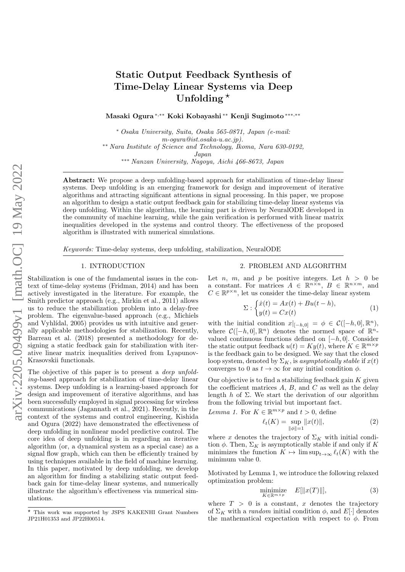# Static Output Feedback Synthesis of Time-Delay Linear Systems via Deep Unfolding  $\star$

Masaki Ogura <sup>∗</sup>,∗∗ Koki Kobayashi ∗∗ Kenji Sugimoto ∗∗∗,∗∗

<sup>∗</sup> Osaka University, Suita, Osaka 565-0871, Japan (e-mail: m-ogura@ist.osaka-u.ac.jp). ∗∗ Nara Institute of Science and Technology, Ikoma, Nara 630-0192, Japan

∗∗∗ Nanzan University, Nagoya, Aichi 466-8673, Japan

Abstract: We propose a deep unfolding-based approach for stabilization of time-delay linear systems. Deep unfolding is an emerging framework for design and improvement of iterative algorithms and attracting significant attentions in signal processing. In this paper, we propose an algorithm to design a static output feedback gain for stabilizing time-delay linear systems via deep unfolding. Within the algorithm, the learning part is driven by NeuralODE developed in the community of machine learning, while the gain verification is performed with linear matrix inequalities developed in the systems and control theory. The effectiveness of the proposed algorithm is illustrated with numerical simulations.

Keywords: Time-delay systems, deep unfolding, stabilization, NeuralODE

## 1. INTRODUCTION

Stabilization is one of the fundamental issues in the context of time-delay systems (Fridman, 2014) and has been actively investigated in the literature. For example, the Smith predictor approach (e.g., Mirkin et al., 2011) allows us to reduce the stabilization problem into a delay-free problem. The eigenvalue-based approach (e.g., Michiels and Vyhlídal, 2005) provides us with intuitive and generally applicable methodologies for stabilization. Recently, Barreau et al. (2018) presented a methodology for designing a static feedback gain for stabilization with iterative linear matrix inequalities derived from Lyapunov-Krasovskii functionals.

The objective of this paper is to present a *deep unfold*ing-based approach for stabilization of time-delay linear systems. Deep unfolding is a learning-based approach for design and improvement of iterative algorithms, and has been successfully employed in signal processing for wireless communications (Jagannath et al., 2021). Recently, in the context of the systems and control engineering, Kishida and Ogura (2022) have demonstrated the effectiveness of deep unfolding in nonlinear model predictive control. The core idea of deep unfolding is in regarding an iterative algorithm (or, a dynamical system as a special case) as a signal flow graph, which can then be efficiently trained by using techniques available in the field of machine learning. In this paper, motivated by deep unfolding, we develop an algorithm for finding a stabilizing static output feedback gain for time-delay linear systems, and numerically illustrate the algorithm's effectiveness via numerical simulations.

### 2. PROBLEM AND ALGORITHM

Let *n*, *m*, and *p* be positive integers. Let  $h > 0$  be a constant. For matrices  $A \in \mathbb{R}^{n \times n}$ ,  $B \in \mathbb{R}^{n \times m}$ , and  $C \in \mathbb{R}^{p \times n},$  let us consider the time-delay linear system

$$
\Sigma: \begin{cases} \dot{x}(t) = Ax(t) + Bu(t-h), \\ y(t) = Cx(t) \end{cases}
$$
 (1)

with the initial condition  $x|_{[-h,0]} = \phi \in C([-h,0], \mathbb{R}^n)$ , where  $\mathcal{C}([-h, 0], \mathbb{R}^n)$  denotes the normed space of  $\mathbb{R}^n$ valued continuous functions defined on  $[-h, 0]$ . Consider the static output feedback  $u(t) = Ky(t)$ , where  $K \in \mathbb{R}^{m \times p}$ is the feedback gain to be designed. We say that the closed loop system, denoted by  $\Sigma_K$ , is asymptotically stable if  $x(t)$ converges to 0 as  $t \to \infty$  for any initial condition  $\phi$ .

Our objective is to find a stabilizing feedback gain  $K$  given the coefficient matrices  $A, B$ , and  $C$  as well as the delay length  $h$  of  $\Sigma$ . We start the derivation of our algorithm from the following trivial but important fact.

*Lemma 1.* For  $K \in \mathbb{R}^{m \times p}$  and  $t > 0$ , define

$$
\ell_t(K) = \sup_{\|\phi\|=1} \|x(t)\|,\tag{2}
$$

where x denotes the trajectory of  $\Sigma_K$  with initial condition  $\phi$ . Then,  $\Sigma_K$  is asymptotically stable if and only if K minimizes the function  $K \mapsto \limsup_{t\to\infty} \ell_t(K)$  with the minimum value 0.

Motivated by Lemma 1, we introduce the following relaxed optimization problem:

$$
\underset{K \in \mathbb{R}^{m \times p}}{\text{minimize}} \quad E[\|x(T)\|],\tag{3}
$$

where  $T > 0$  is a constant, x denotes the trajectory of  $\Sigma_K$  with a *random* initial condition  $\phi$ , and  $E[\cdot]$  denotes the mathematical expectation with respect to  $\phi$ . From

<sup>?</sup> This work was supported by JSPS KAKENHI Grant Numbers JP21H01353 and JP22H00514.